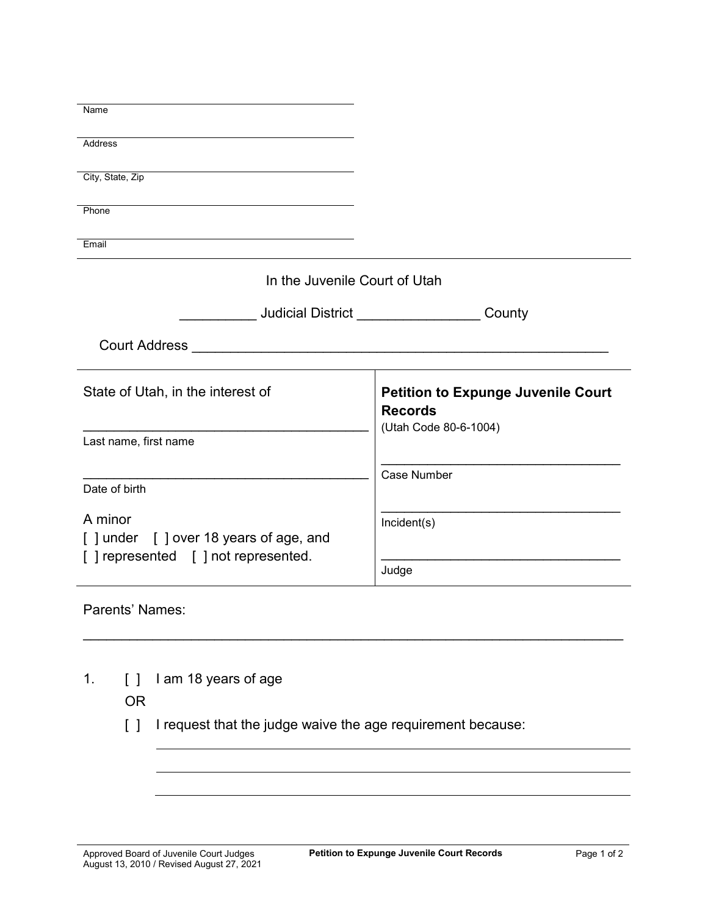| Name                                  |                                           |
|---------------------------------------|-------------------------------------------|
|                                       |                                           |
| <b>Address</b>                        |                                           |
|                                       |                                           |
| City, State, Zip                      |                                           |
|                                       |                                           |
| Phone                                 |                                           |
|                                       |                                           |
| Email                                 |                                           |
|                                       |                                           |
| In the Juvenile Court of Utah         |                                           |
|                                       |                                           |
|                                       | County                                    |
|                                       |                                           |
| <b>Court Address</b>                  |                                           |
|                                       |                                           |
|                                       |                                           |
| State of Utah, in the interest of     | <b>Petition to Expunge Juvenile Court</b> |
|                                       | <b>Records</b>                            |
|                                       | (Utah Code 80-6-1004)                     |
| Last name, first name                 |                                           |
|                                       |                                           |
|                                       | Case Number                               |
| Date of birth                         |                                           |
|                                       |                                           |
|                                       |                                           |
| A minor                               | Incident(s)                               |
| [] under [] over 18 years of age, and |                                           |
|                                       |                                           |
| [] represented [] not represented.    | Judge                                     |

Parents' Names:

1. [ ] I am 18 years of age

OR

[ ] I request that the judge waive the age requirement because:

\_\_\_\_\_\_\_\_\_\_\_\_\_\_\_\_\_\_\_\_\_\_\_\_\_\_\_\_\_\_\_\_\_\_\_\_\_\_\_\_\_\_\_\_\_\_\_\_\_\_\_\_\_\_\_\_\_\_\_\_\_\_\_\_\_\_\_\_\_\_